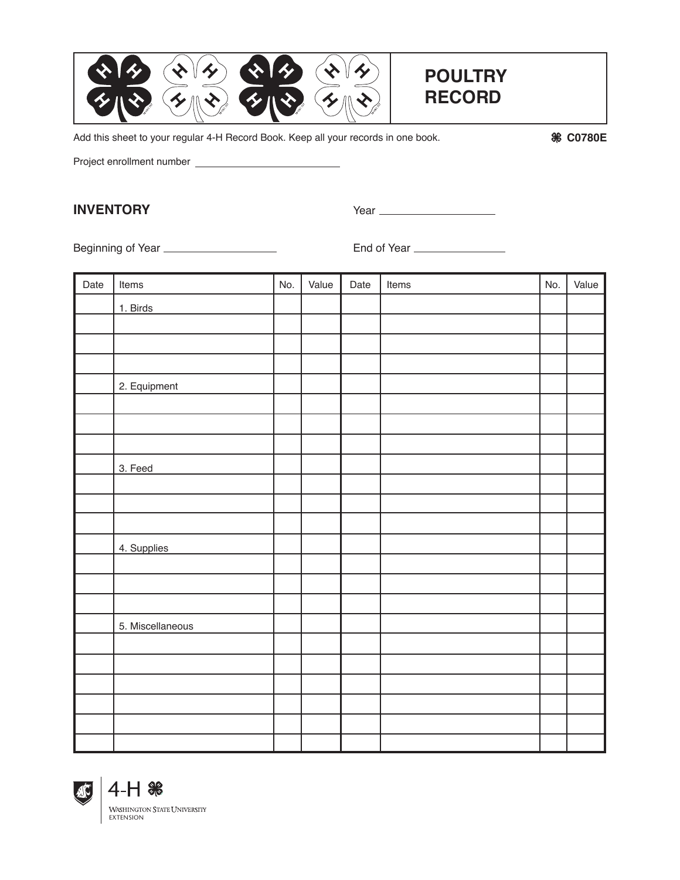

Add this sheet to your regular 4-H Record Book. Keep all your records in one book.

**C0780E**

Project enrollment number

#### **INVENTORY** Year

Beginning of Year <u>Communications</u> Communications End of Year Communications Communications Communications Communications Communications Communications Communications Communications Communications Communications Communicat

| Date | Items            | No. | Value | Date | Items | No. | Value |
|------|------------------|-----|-------|------|-------|-----|-------|
|      | 1. Birds         |     |       |      |       |     |       |
|      |                  |     |       |      |       |     |       |
|      |                  |     |       |      |       |     |       |
|      |                  |     |       |      |       |     |       |
|      | 2. Equipment     |     |       |      |       |     |       |
|      |                  |     |       |      |       |     |       |
|      |                  |     |       |      |       |     |       |
|      |                  |     |       |      |       |     |       |
|      | 3. Feed          |     |       |      |       |     |       |
|      |                  |     |       |      |       |     |       |
|      |                  |     |       |      |       |     |       |
|      |                  |     |       |      |       |     |       |
|      | 4. Supplies      |     |       |      |       |     |       |
|      |                  |     |       |      |       |     |       |
|      |                  |     |       |      |       |     |       |
|      |                  |     |       |      |       |     |       |
|      | 5. Miscellaneous |     |       |      |       |     |       |
|      |                  |     |       |      |       |     |       |
|      |                  |     |       |      |       |     |       |
|      |                  |     |       |      |       |     |       |
|      |                  |     |       |      |       |     |       |
|      |                  |     |       |      |       |     |       |
|      |                  |     |       |      |       |     |       |



**WASHINGTON STATE UNIVERSITY** EXTENSION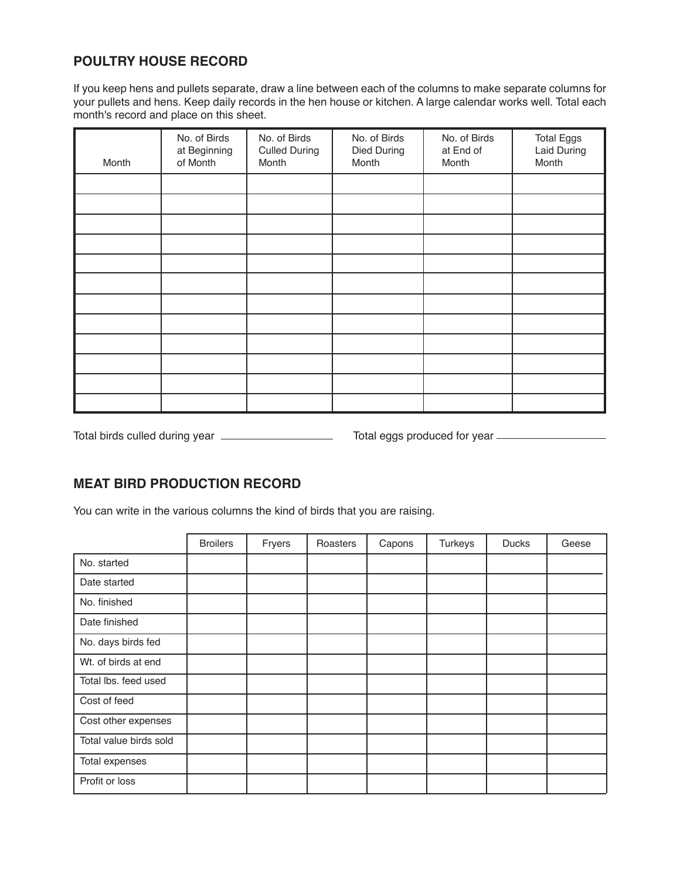## **POULTRY HOUSE RECORD**

If you keep hens and pullets separate, draw a line between each of the columns to make separate columns for your pullets and hens. Keep daily records in the hen house or kitchen. A large calendar works well. Total each month's record and place on this sheet.

| Month | No. of Birds<br>at Beginning<br>of Month | No. of Birds<br><b>Culled During</b><br>Month | No. of Birds<br>Died During<br>Month | No. of Birds<br>at End of<br>Month | <b>Total Eggs</b><br><b>Laid During</b><br>Month |
|-------|------------------------------------------|-----------------------------------------------|--------------------------------------|------------------------------------|--------------------------------------------------|
|       |                                          |                                               |                                      |                                    |                                                  |
|       |                                          |                                               |                                      |                                    |                                                  |
|       |                                          |                                               |                                      |                                    |                                                  |
|       |                                          |                                               |                                      |                                    |                                                  |
|       |                                          |                                               |                                      |                                    |                                                  |
|       |                                          |                                               |                                      |                                    |                                                  |
|       |                                          |                                               |                                      |                                    |                                                  |
|       |                                          |                                               |                                      |                                    |                                                  |
|       |                                          |                                               |                                      |                                    |                                                  |
|       |                                          |                                               |                                      |                                    |                                                  |
|       |                                          |                                               |                                      |                                    |                                                  |
|       |                                          |                                               |                                      |                                    |                                                  |

Total birds culled during year Total eggs produced for year

### **MEAT BIRD PRODUCTION RECORD**

You can write in the various columns the kind of birds that you are raising.

|                        | <b>Broilers</b> | Fryers | Roasters | Capons | <b>Turkeys</b> | <b>Ducks</b> | Geese |
|------------------------|-----------------|--------|----------|--------|----------------|--------------|-------|
| No. started            |                 |        |          |        |                |              |       |
| Date started           |                 |        |          |        |                |              |       |
| No. finished           |                 |        |          |        |                |              |       |
| Date finished          |                 |        |          |        |                |              |       |
| No. days birds fed     |                 |        |          |        |                |              |       |
| Wt. of birds at end    |                 |        |          |        |                |              |       |
| Total Ibs. feed used   |                 |        |          |        |                |              |       |
| Cost of feed           |                 |        |          |        |                |              |       |
| Cost other expenses    |                 |        |          |        |                |              |       |
| Total value birds sold |                 |        |          |        |                |              |       |
| Total expenses         |                 |        |          |        |                |              |       |
| Profit or loss         |                 |        |          |        |                |              |       |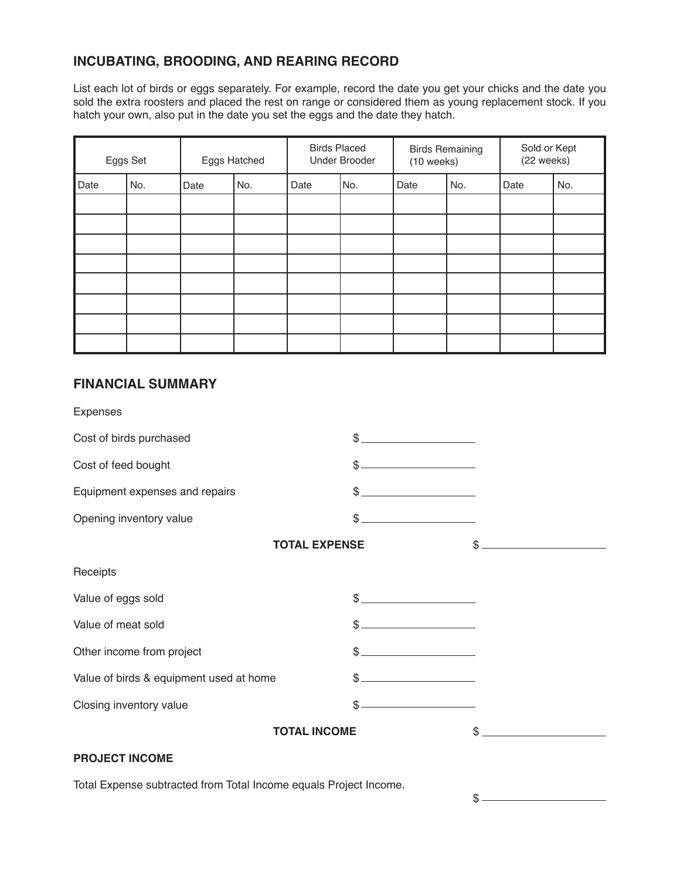# **INCUBATING, BROODING, AND REARING RECORD**

List each lot of birds or eggs separately. For example, record the date you get your chicks and the date you sold the extra roosters and placed the rest on range or considered them as young replacement stock. If you hatch your own, also put in the date you set the eggs and the date they hatch.

| Eggs Set |     | Eggs Hatched |     | <b>Birds Placed</b><br><b>Under Brooder</b> |     | <b>Birds Remaining</b><br>$(10$ weeks) |     | Sold or Kept<br>(22 weeks) |     |
|----------|-----|--------------|-----|---------------------------------------------|-----|----------------------------------------|-----|----------------------------|-----|
| Date     | No. | Date         | No. | Date                                        | No. | Date                                   | No. | Date                       | No. |
|          |     |              |     |                                             |     |                                        |     |                            |     |
|          |     |              |     |                                             |     |                                        |     |                            |     |
|          |     |              |     |                                             |     |                                        |     |                            |     |
|          |     |              |     |                                             |     |                                        |     |                            |     |
|          |     |              |     |                                             |     |                                        |     |                            |     |
|          |     |              |     |                                             |     |                                        |     |                            |     |
|          |     |              |     |                                             |     |                                        |     |                            |     |
|          |     |              |     |                                             |     |                                        |     |                            |     |

### **FINANCIAL SUMMARY**

| <b>Expenses</b>                         |               |                                                                                                                                                                                                                                                                                                                                                                     |
|-----------------------------------------|---------------|---------------------------------------------------------------------------------------------------------------------------------------------------------------------------------------------------------------------------------------------------------------------------------------------------------------------------------------------------------------------|
| Cost of birds purchased                 |               |                                                                                                                                                                                                                                                                                                                                                                     |
| Cost of feed bought                     |               |                                                                                                                                                                                                                                                                                                                                                                     |
| Equipment expenses and repairs          |               |                                                                                                                                                                                                                                                                                                                                                                     |
| Opening inventory value                 |               |                                                                                                                                                                                                                                                                                                                                                                     |
| <b>TOTAL EXPENSE</b>                    |               | $\begin{picture}(20,10) \put(0,0){\vector(1,0){100}} \put(15,0){\vector(1,0){100}} \put(15,0){\vector(1,0){100}} \put(15,0){\vector(1,0){100}} \put(15,0){\vector(1,0){100}} \put(15,0){\vector(1,0){100}} \put(15,0){\vector(1,0){100}} \put(15,0){\vector(1,0){100}} \put(15,0){\vector(1,0){100}} \put(15,0){\vector(1,0){100}} \put(15,0){\vector(1,0){100}} \$ |
| Receipts                                |               |                                                                                                                                                                                                                                                                                                                                                                     |
| Value of eggs sold                      | $\frac{1}{2}$ |                                                                                                                                                                                                                                                                                                                                                                     |
| Value of meat sold                      |               |                                                                                                                                                                                                                                                                                                                                                                     |
| Other income from project               | $\frac{1}{2}$ |                                                                                                                                                                                                                                                                                                                                                                     |
| Value of birds & equipment used at home |               |                                                                                                                                                                                                                                                                                                                                                                     |
| Closing inventory value                 | \$            |                                                                                                                                                                                                                                                                                                                                                                     |
| <b>TOTAL INCOME</b>                     |               | \$                                                                                                                                                                                                                                                                                                                                                                  |
| <b>PROJECT INCOME</b>                   |               |                                                                                                                                                                                                                                                                                                                                                                     |

Total Expense subtracted from Total Income equals Project Income.

\$